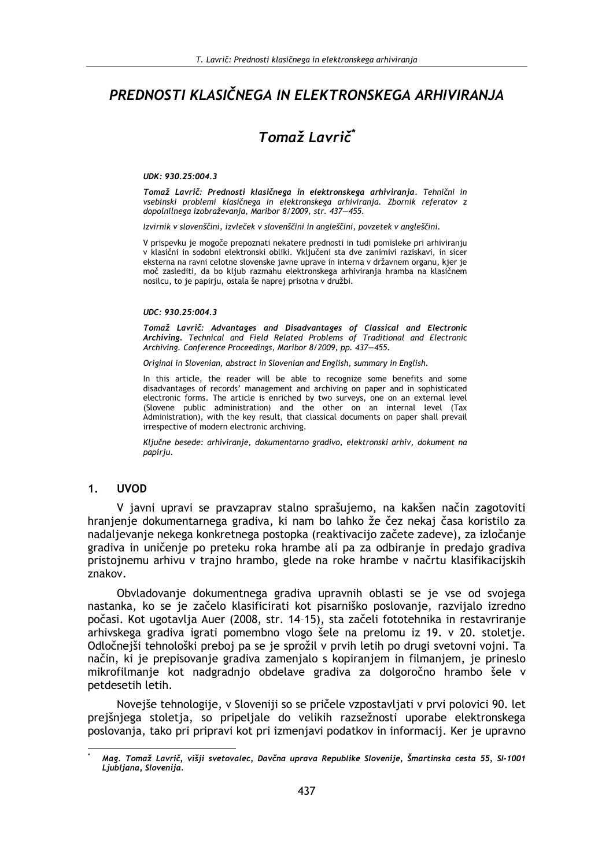# PREDNOSTI KLASIČNEGA IN ELEKTRONSKEGA ARHIVIRANJA

# Tomaž Lavrič<sup>\*</sup>

#### UDK: 930.25:004.3

Tomaž Lavrič: Prednosti klasičnega in elektronskega arhiviranja. Tehnični in vsebinski problemi klasičnega in elektronskega arhiviranja. Zbornik referatov z dopolnilnega izobraževanja, Maribor 8/2009, str. 437-455.

Izvirnik v slovenščini, izvleček v slovenščini in angleščini, povzetek v angleščini.

V prispevku je mogoče prepoznati nekatere prednosti in tudi pomisleke pri arhiviranju v klasični in sodobni elektronski obliki. Vključeni sta dve zanimivi raziskavi, in sicer eksterna na ravni celotne slovenske javne uprave in interna v državnem organu, kjer je moč zaslediti, da bo kljub razmahu elektronskega arhiviranja hramba na klasičnem nosilcu, to je papirju, ostala še naprej prisotna v družbi.

#### UDC: 930.25:004.3

Tomaž Lavrič: Advantages and Disadvantages of Classical and Electronic Archiving. Technical and Field Related Problems of Traditional and Electronic Archiving. Conference Proceedings, Maribor 8/2009, pp. 437-455.

Original in Slovenian, abstract in Slovenian and English, summary in English.

In this article, the reader will be able to recognize some benefits and some disadvantages of records' management and archiving on paper and in sophisticated electronic forms. The article is enriched by two surveys, one on an external level (Slovene public administration) and the other on an internal level (Tax Administration), with the key result, that classical documents on paper shall prevail irrespective of modern electronic archiving.

Ključne besede: arhiviranje, dokumentarno gradivo, elektronski arhiv, dokument na papiriu.

#### $\mathbf 1$ . **UVOD**

V javni upravi se pravzaprav stalno sprašujemo, na kakšen način zagotoviti hranjenje dokumentarnega gradiva, ki nam bo lahko že čez nekaj časa koristilo za nadalievanie nekega konkretnega postopka (reaktivacijo začete zadeve), za izločanie gradiva in uničenie po preteku roka hrambe ali pa za odbiranie in predajo gradiva pristojnemu arhivu v trajno hrambo, glede na roke hrambe v načrtu klasifikacijskih znakov.

Obvladovanje dokumentnega gradiva upravnih oblasti se je vse od svojega nastanka, ko se je začelo klasificirati kot pisarniško poslovanje, razvijalo izredno počasi. Kot ugotavlja Auer (2008, str. 14-15), sta začeli fototehnika in restavriranje arhivskega gradiva igrati pomembno vlogo šele na prelomu iz 19. v 20. stoletje. Odločnejši tehnološki preboj pa se je sprožil v prvih letih po drugi svetovni vojni. Ta način, ki je prepisovanje gradiva zamenjalo s kopiranjem in filmanjem, je prineslo mikrofilmanje kot nadgradnjo obdelave gradiva za dolgoročno hrambo šele v petdesetih letih.

Novejše tehnologije, v Sloveniji so se pričele vzpostavljati v prvi polovici 90. let prejšnjega stoletja, so pripeljale do velikih razsežnosti uporabe elektronskega poslovanja, tako pri pripravi kot pri izmenjavi podatkov in informacij. Ker je upravno

Mag. Tomaž Lavrič, višji svetovalec, Davčna uprava Republike Slovenije, Šmartinska cesta 55, SI-1001 Ljubljana, Slovenija.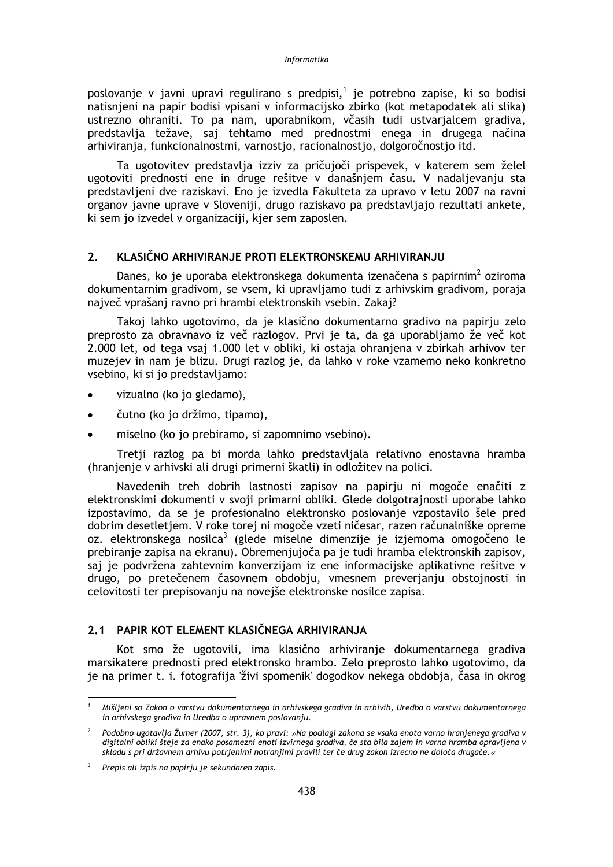poslovanje v javni upravi regulirano s predpisi,<sup>1</sup> je potrebno zapise, ki so bodisi natisnjeni na papir bodisi vpisani v informacijsko zbirko (kot metapodatek ali slika) ustrezno ohraniti. To pa nam, uporabnikom, včasih tudi ustvarjalcem gradiva, predstavlja težave, saj tehtamo med prednostmi enega in drugega načina arhiviranja, funkcionalnostmi, varnostio, racionalnostio, dolgoročnostio itd.

Ta ugotovitev predstavlja izziv za pričujoči prispevek, v katerem sem želel ugotoviti prednosti ene in druge rešitve v današnjem času. V nadaljevanju sta predstavljeni dve raziskavi. Eno je izvedla Fakulteta za upravo v letu 2007 na ravni organov javne uprave v Sloveniji, drugo raziskavo pa predstavljajo rezultati ankete, ki sem jo izvedel v organizaciji, kjer sem zaposlen.

#### KLASIČNO ARHIVIRANJE PROTI ELEKTRONSKEMU ARHIVIRANJU  $2.$

Danes, ko je uporaba elektronskega dokumenta izenačena s papirnim<sup>2</sup> oziroma dokumentarnim gradivom, se vsem, ki upravljamo tudi z arhivskim gradivom, poraja največ vprašanj ravno pri hrambi elektronskih vsebin. Zakaj?

Takoj lahko ugotovimo, da je klasično dokumentarno gradivo na papirju zelo preprosto za obravnavo iz več razlogov. Prvi je ta, da ga uporabljamo že več kot 2.000 let, od tega vsaj 1.000 let v obliki, ki ostaja ohranjena v zbirkah arhivov ter muzejev in nam je blizu. Drugi razlog je, da lahko v roke vzamemo neko konkretno vsebino, ki si jo predstavljamo:

- vizualno (ko jo gledamo),
- čutno (ko jo držimo, tipamo),
- miselno (ko jo prebiramo, si zapomnimo vsebino).

Tretji razlog pa bi morda lahko predstavljala relativno enostavna hramba (hranjenje v arhivski ali drugi primerni škatli) in odložitev na polici.

Navedenih treh dobrih lastnosti zapisov na papirju ni mogoče enačiti z elektronskimi dokumenti v svoji primarni obliki. Glede dolgotrajnosti uporabe lahko izpostavimo, da se je profesionalno elektronsko poslovanje vzpostavilo šele pred dobrim desetletiem. V roke torei ni mogoče vzeti ničesar, razen računalniške opreme oz. elektronskega nosilca<sup>3</sup> (glede miselne dimenzije je izjemoma omogočeno le prebiranje zapisa na ekranu). Obremenjujoča pa je tudi hramba elektronskih zapisov, saj je podvržena zahtevnim konverzijam iz ene informacijske aplikativne rešitve v drugo, po pretečenem časovnem obdobju, vmesnem preverjanju obstojnosti in celovitosti ter prepisovanju na novejše elektronske nosilce zapisa.

# 2.1 PAPIR KOT ELEMENT KLASIČNEGA ARHIVIRANJA

Kot smo že ugotovili, ima klasično arhiviranje dokumentarnega gradiva marsikatere prednosti pred elektronsko hrambo. Zelo preprosto lahko ugotovimo, da je na primer t. i. fotografija 'živi spomenik' dogodkov nekega obdobja, časa in okrog

Mišljeni so Zakon o varstvu dokumentarnega in arhivskega gradiva in arhivih, Uredba o varstvu dokumentarnega in arhivskega gradiva in Uredba o upravnem poslovanju.

<sup>&</sup>lt;sup>2</sup> Podobno ugotavlja Žumer (2007, str. 3), ko pravi: »Na podlagi zakona se vsaka enota varno hranjenega gradiva v digitalni obliki šteje za enako posamezni enoti izvirnega gradiva, če sta bila zajem in varna hramba opravljena v skladu s pri državnem arhivu potrjenimi notranjimi pravili ter če drug zakon izrecno ne določa drugače.«

 $3$  Prepis ali izpis na papirju je sekundaren zapis.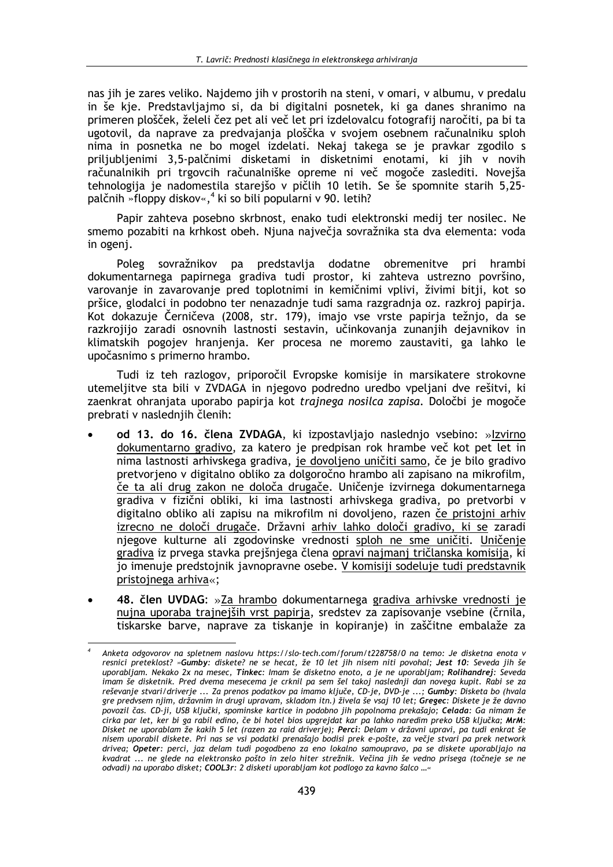nas jih je zares veliko. Najdemo jih v prostorih na steni, v omari, v albumu, v predalu in še kje. Predstavljajmo si, da bi digitalni posnetek, ki ga danes shranimo na primeren plošček, želeli čez pet ali več let pri izdelovalcu fotografii naročiti, pa bi ta ugotovil, da naprave za predvajanja ploščka v svojem osebnem računalniku sploh nima in posnetka ne bo mogel izdelati. Nekaj takega se je pravkar zgodilo s priljubljenimi 3,5-palčnimi disketami in disketnimi enotami, ki jih v novih računalnikih pri trgovcih računalniške opreme ni več mogoče zaslediti. Novejša tehnologija je nadomestila starejšo v pičlih 10 letih. Se še spomnite starih 5,25palčnih »floppy diskov«,<sup>4</sup> ki so bili popularni v 90. letih?

Papir zahteva posebno skrbnost, enako tudi elektronski medij ter nosilec. Ne smemo pozabiti na krhkost obeh. Njuna največja sovražnika sta dva elementa: voda in ogenj.

Poleg sovražnikov pa predstavlja dodatne obremenitve pri hrambi dokumentarnega papirnega gradiva tudi prostor, ki zahteva ustrezno površino. varovanje in zavarovanje pred toplotnimi in kemičnimi vplivi, živimi bitji, kot so pršice, glodalci in podobno ter nenazadnje tudi sama razgradnja oz. razkroj papirja. Kot dokazuje Černičeva (2008, str. 179), imajo vse vrste papirja težnjo, da se razkrojijo zaradi osnovnih lastnosti sestavin, učinkovanja zunanjih dejavnikov in klimatskih pogojev hranjenja. Ker procesa ne moremo zaustaviti, ga lahko le upočasnimo s primerno hrambo.

Tudi iz teh razlogov, priporočil Evropske komisije in marsikatere strokovne utemeljitve sta bili v ZVDAGA in njegovo podredno uredbo vpeljani dve rešitvi, ki zaenkrat ohranjata uporabo papirja kot *trajnega nosilca zapisa*. Določbi je mogoče prebrati v naslednjih členih:

- od 13. do 16. člena ZVDAGA, ki izpostavljajo naslednjo vsebino: »Izvirno dokumentarno gradivo, za katero je predpisan rok hrambe več kot pet let in nima lastnosti arhivskega gradiva, je dovoljeno uničiti samo, če je bilo gradivo pretvorieno y digitalno obliko za dolgoročno hrambo ali zapisano na mikrofilm, če ta ali drug zakon ne določa drugače. Uničenje izvirnega dokumentarnega gradiva v fizični obliki, ki ima lastnosti arhivskega gradiva, po pretvorbi v digitalno obliko ali zapisu na mikrofilm ni dovolieno, razen če pristojni arhiv izrecno ne določi drugače. Državni arhiv lahko določi gradivo, ki se zaradi njegove kulturne ali zgodovinske vrednosti sploh ne sme uničiti. Uničenje gradiva iz prvega stavka prejšnjega člena opravi najmanj tričlanska komisija, ki jo imenuje predstojnik javnopravne osebe. V komisiji sodeluje tudi predstavnik pristojnega arhiva«;
- 48. člen UVDAG: »Za hrambo dokumentarnega gradiva arhivske vrednosti je nujna uporaba trajnejših vrst papirja, sredstev za zapisovanje vsebine (črnila, tiskarske barve, naprave za tiskanje in kopiranje) in zaščitne embalaže za

Anketa odgovorov na spletnem naslovu https://slo-tech.com/forum/t228758/0 na temo: Je disketna enota v resnici preteklost? »Gumby: diskete? ne se hecat, že 10 let jih nisem niti povohal; Jest 10: Seveda jih še uporabljam. Nekako 2x na mesec, Tinkec: Imam še disketno enoto, a je ne uporabljam; Rolihandrej: Seveda imam še disketnik. Pred dvema mesecema je crknil pa sem šel takoj naslednji dan novega kupit. Rabi se za reševanje stvari/driverje ... Za prenos podatkov pa imamo ključe, CD-je, DVD-je ...; Gumby: Disketa bo (hvala gre predvsem njim, državnim in drugi upravam, skladom itn.) živela še vsaj 10 let; Gregec: Diskete je že davno povozil čas. CD-ji, USB ključki, spominske kartice in podobno jih popolnoma prekašajo; Celada: Ga nimam že cirka par let, ker bi ga rabil edino, če bi hotel bios upgrejdat kar pa lahko naredim preko USB ključka; MrM: Disket ne uporablam že kakih 5 let (razen za raid driverje); Perci: Delam v državni upravi, pa tudi enkrat še nisem uporabil diskete. Pri nas se vsi podatki prenašajo bodisi prek e-pošte, za večje stvari pa prek network drivea; Opeter: perci, jaz delam tudi pogodbeno za eno lokalno samoupravo, pa se diskete uporabljajo na kvadrat ... ne glede na elektronsko pošto in zelo hiter strežnik. Večina jih še vedno prisega (točneje se ne odvadi) na uporabo disket; COOL3r: 2 disketi uporabljam kot podlogo za kavno šalco ...«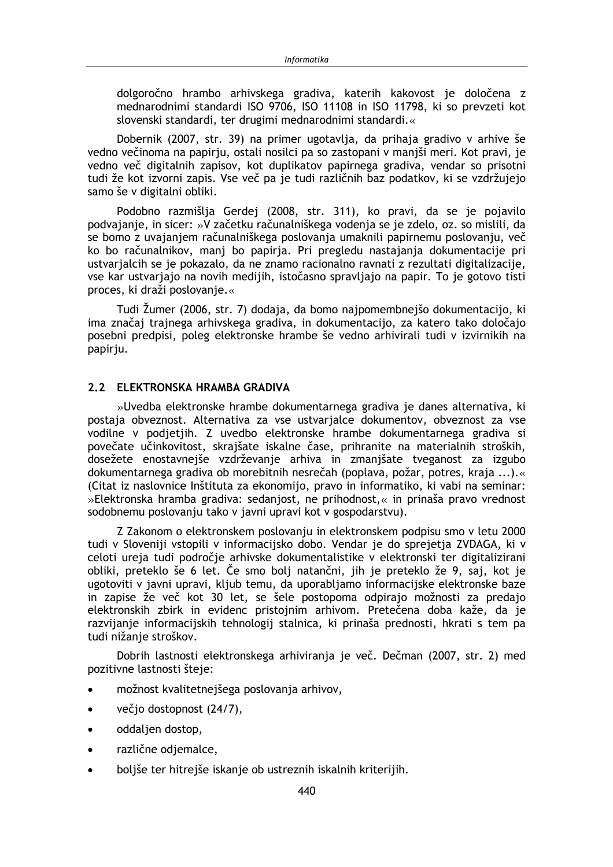dolgoročno hrambo arhivskega gradiva, katerih kakovost je določena z mednarodnimi standardi ISO 9706, ISO 11108 in ISO 11798, ki so prevzeti kot slovenski standardi, ter drugimi mednarodnimi standardi.«

Dobernik (2007, str. 39) na primer ugotavlja, da prihaja gradivo v arhive še vedno večinoma na papirju, ostali nosilci pa so zastopani v manjši meri. Kot pravi, je vedno več digitalnih zapisov, kot duplikatov papirnega gradiva, vendar so prisotni tudi že kot izvorni zapis. Vse več pa je tudi različnih baz podatkov, ki se vzdržujejo samo še v digitalni obliki.

Podobno razmišlja Gerdej (2008, str. 311), ko pravi, da se je pojavilo podvajanje, in sicer: »V začetku računalniškega vodenja se je zdelo, oz. so mislili, da se bomo z uvajanjem računalniškega poslovanja umaknili papirnemu poslovanju, več ko bo računalnikov, manj bo papirja. Pri pregledu nastajanja dokumentacije pri ustvarjalcih se je pokazalo, da ne znamo racionalno ravnati z rezultati digitalizacije, vse kar ustvarjajo na novih medijih, istočasno spravljajo na papir. To je gotovo tisti proces, ki draži poslovanje.«

Tudi Žumer (2006, str. 7) dodaja, da bomo najpomembnejšo dokumentacijo, ki ima značaj trajnega arhivskega gradiva, in dokumentacijo, za katero tako določajo posebni predpisi, poleg elektronske hrambe še vedno arhivirali tudi v izvirnikih na papirju.

## 2.2 ELEKTRONSKA HRAMBA GRADIVA

»Uvedba elektronske hrambe dokumentarnega gradiva je danes alternativa, ki postaja obveznost. Alternativa za vse ustvarjalce dokumentov, obveznost za vse vodilne v podjetjih. Z uvedbo elektronske hrambe dokumentarnega gradiva si povečate učinkovitost, skrajšate iskalne čase, prihranite na materialnih stroških, dosežete enostavnejše vzdrževanje arhiva in zmanišate tveganost za izgubo dokumentarnega gradiva ob morebitnih nesrečah (poplava, požar, potres, kraja ...). (Citat iz naslovnice Inštituta za ekonomijo, pravo in informatiko, ki vabi na seminar: »Elektronska hramba gradiva: sedanjost, ne prihodnost,« in prinaša pravo vrednost sodobnemu poslovanju tako v javni upravi kot v gospodarstvu).

Z Zakonom o elektronskem poslovanju in elektronskem podpisu smo v letu 2000 tudi v Sloveniji vstopili v informacijsko dobo. Vendar je do sprejetja ZVDAGA, ki v celoti ureja tudi področje arhivske dokumentalistike v elektronski ter digitalizirani obliki, preteklo še 6 let. Če smo bolj natančni, jih je preteklo že 9, saj, kot je ugotoviti v javni upravi, kljub temu, da uporabljamo informacijske elektronske baze in zapise že več kot 30 let, se šele postopoma odpirajo možnosti za predajo elektronskih zbirk in evidenc pristojnim arhivom. Pretečena doba kaže, da je razvijanje informacijskih tehnologij stalnica, ki prinaša prednosti, hkrati s tem pa tudi nižanje stroškov.

Dobrih lastnosti elektronskega arhiviranja je več. Dečman (2007, str. 2) med pozitivne lastnosti šteje:

- možnost kvalitetnejšega poslovanja arhivov,  $\bullet$
- večio dostopnost (24/7),  $\bullet$
- oddaljen dostop,  $\bullet$
- različne odjemalce,  $\bullet$
- boljše ter hitrejše iskanje ob ustreznih iskalnih kriterijih.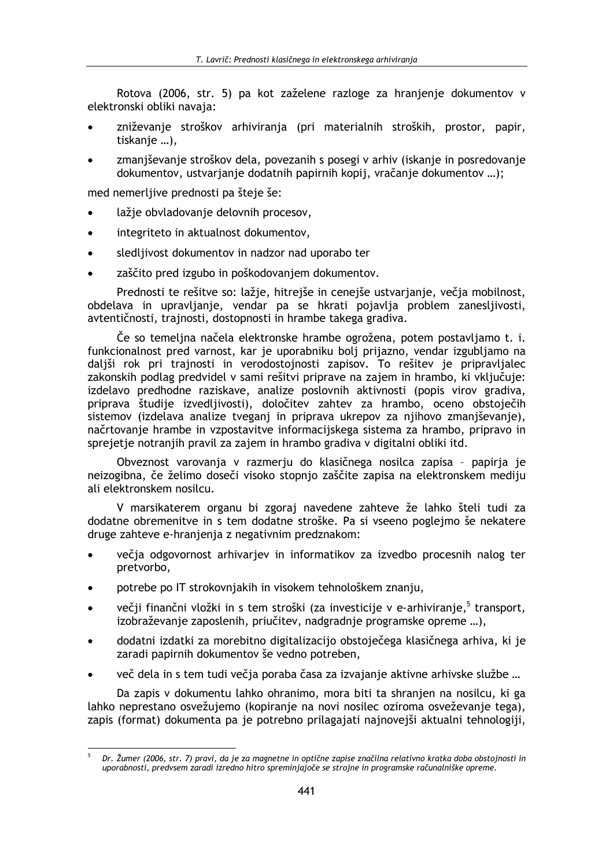Rotova (2006, str. 5) pa kot zaželene razloge za hranjenje dokumentov v elektronski obliki navaja:

- zniževanje stroškov arhiviranja (pri materialnih stroških, prostor, papir, tiskanje ...),
- zmanjševanje stroškov dela, povezanih s posegi v arhiv (iskanje in posredovanje dokumentov, ustvarjanje dodatnih papirnih kopij, vračanje dokumentov ...);

med nemerljive prednosti pa šteje še:

- lažje obvladovanje delovnih procesov,
- integriteto in aktualnost dokumentov,  $\bullet$
- sledljivost dokumentov in nadzor nad uporabo ter  $\bullet$
- zaščito pred izgubo in poškodovanjem dokumentov.  $\bullet$

Prednosti te rešitve so: lažje, hitrejše in cenejše ustvarjanje, večja mobilnost, obdelava in upravljanje, vendar pa se hkrati pojavlja problem zanesljivosti, avtentičnosti, trajnosti, dostopnosti in hrambe takega gradiva.

Če so temeljna načela elektronske hrambe ogrožena, potem postavljamo t. i. funkcionalnost pred varnost, kar je uporabniku bolj prijazno, vendar izgubljamo na daljši rok pri trajnosti in verodostojnosti zapisov. To rešitev je pripravljalec zakonskih podlag predvidel v sami rešitvi priprave na zajem in hrambo, ki vključuje: izdelavo predhodne raziskave, analize poslovnih aktivnosti (popis virov gradiva, priprava študije izvedljivosti), določitev zahtev za hrambo, oceno obstoječih sistemov (izdelava analize tveganj in priprava ukrepov za njihovo zmanjševanje), načrtovanje hrambe in vzpostavitve informacijskega sistema za hrambo, pripravo in sprejetje notranjih pravil za zajem in hrambo gradiva v digitalni obliki itd.

Obveznost varovanja v razmerju do klasičnega nosilca zapisa - papirja je neizogibna, če želimo doseči visoko stopnjo zaščite zapisa na elektronskem mediju ali elektronskem nosilcu.

V marsikaterem organu bi zgoraj navedene zahteve že lahko šteli tudi za dodatne obremenitve in s tem dodatne stroške. Pa si vseeno poglejmo še nekatere druge zahteve e-hranjenja z negativnim predznakom:

- večja odgovornost arhivarjev in informatikov za izvedbo procesnih nalog ter pretvorbo,
- potrebe po IT strokovnjakih in visokem tehnološkem znanju,
- večji finančni vložki in s tem stroški (za investicije v e-arhiviranje,<sup>5</sup> transport, izobraževanie zaposlenih, priučitev, nadgradnie programske opreme ...).
- dodatni izdatki za morebitno digitalizacijo obstoječega klasičnega arhiva, ki je zaradi papirnih dokumentov še vedno potreben.
- več dela in s tem tudi večia poraba časa za izvajanje aktivne arhivske službe ...

Da zapis y dokumentu lahko ohranimo, mora biti ta shranien na nosilcu, ki ga lahko neprestano osvežujemo (kopiranje na novi nosilec oziroma osveževanje tega). zapis (format) dokumenta pa je potrebno prilagajati najnovejši aktualni tehnologiji,

Dr. Žumer (2006, str. 7) pravi, da je za magnetne in optične zapise značilna relativno kratka doba obstojnosti in uporabnosti, predvsem zaradi izredno hitro spreminjajoče se strojne in programske računalniške opreme.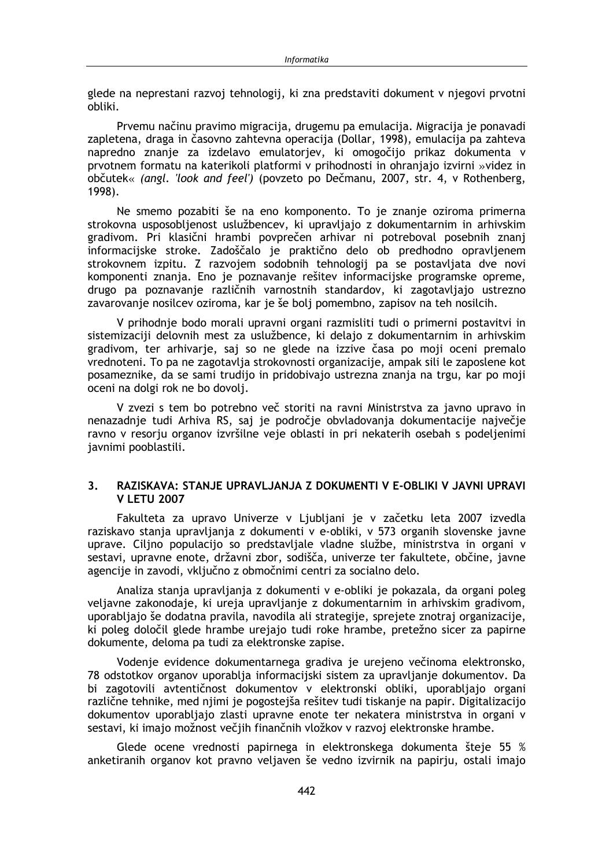glede na neprestani razvoj tehnologij, ki zna predstaviti dokument v njegovi prvotni obliki.

Prvemu načinu pravimo migracija, drugemu pa emulacija. Migracija je ponavadi zapletena, draga in časovno zahtevna operacija (Dollar, 1998), emulacija pa zahteva napredno znanje za izdelavo emulatorjev, ki omogočijo prikaz dokumenta v prvotnem formatu na katerikoli platformi v prihodnosti in ohranjajo izvirni »videz in občutek« (angl. 'look and feel') (povzeto po Dečmanu, 2007, str. 4, v Rothenberg, 1998).

Ne smemo pozabiti še na eno komponento. To je znanje oziroma primerna strokovna usposobljenost uslužbencev, ki upravljajo z dokumentarnim in arhivskim gradivom. Pri klasični hrambi povprečen arhivar ni potreboval posebnih znanj informacijske stroke. Zadoščalo je praktično delo ob predhodno opravljenem strokovnem izpitu. Z razvojem sodobnih tehnologij pa se postavljata dve novi komponenti znanja. Eno je poznavanje rešitev informacijske programske opreme, drugo pa poznavanje različnih varnostnih standardov, ki zagotavljajo ustrezno zavarovanje nosilcev oziroma, kar je še bolj pomembno, zapisov na teh nosilcih.

V prihodnje bodo morali upravni organi razmisliti tudi o primerni postavitvi in sistemizaciji delovnih mest za uslužbence, ki delajo z dokumentarnim in arhivskim gradivom, ter arhivarie, sai so ne glede na izzive časa po moji oceni premalo vrednoteni. To pa ne zagotavlja strokovnosti organizacije, ampak sili le zaposlene kot posameznike, da se sami trudijo in pridobivajo ustrezna znanja na trgu, kar po moji oceni na dolgi rok ne bo dovolj.

V zvezi s tem bo potrebno več storiti na ravni Ministrstva za javno upravo in nenazadnje tudi Arhiva RS, saj je področje obvladovanja dokumentacije največje ravno v resorju organov izvršilne veje oblasti in pri nekaterih osebah s podeljenimi javnimi pooblastili.

#### $3<sub>1</sub>$ RAZISKAVA: STANJE UPRAVLJANJA Z DOKUMENTI V E-OBLIKI V JAVNI UPRAVI **V LETU 2007**

Fakulteta za upravo Univerze v Ljubljani je v začetku leta 2007 izvedla raziskavo stania upravliania z dokumenti v e-obliki. v 573 organih slovenske javne uprave. Ciljno populacijo so predstavljale vladne službe, ministrstva in organi v sestavi, upravne enote, državni zbor, sodišča, univerze ter fakultete, občine, javne agencije in zavodi, vključno z območnimi centri za socialno delo.

Analiza stanja upravljanja z dokumenti v e-obliki je pokazala, da organi poleg veljavne zakonodaje, ki ureja upravljanje z dokumentarnim in arhivskim gradivom, uporabljajo še dodatna pravila, navodila ali strategije, sprejete znotraj organizacije, ki poleg določil glede hrambe urejajo tudi roke hrambe, pretežno sicer za papirne dokumente, deloma pa tudi za elektronske zapise.

Vodenje evidence dokumentarnega gradiva je urejeno večinoma elektronsko, 78 odstotkov organov uporablja informacijski sistem za upravljanje dokumentov. Da bi zagotovili avtentičnost dokumentov v elektronski obliki, uporabljajo organi različne tehnike, med njimi je pogostejša rešitev tudi tiskanje na papir. Digitalizacijo dokumentov uporabljajo zlasti upravne enote ter nekatera ministrstva in organi v sestavi, ki imajo možnost večjih finančnih vložkov v razvoj elektronske hrambe.

Glede ocene vrednosti papirnega in elektronskega dokumenta šteje 55 % anketiranih organov kot pravno veljaven še vedno izvirnik na papirju, ostali imajo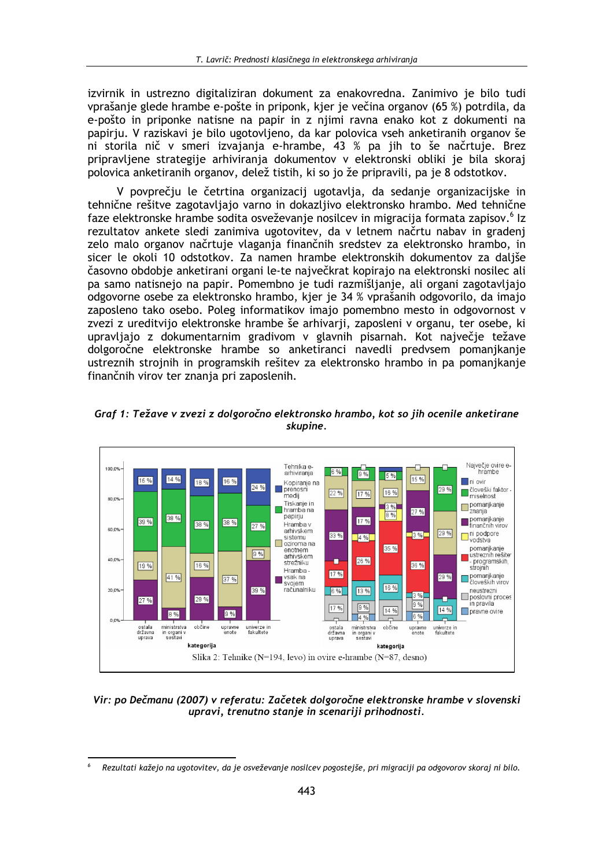izvirnik in ustrezno digitaliziran dokument za enakovredna. Zanimivo je bilo tudi vprašanje glede hrambe e-pošte in priponk, kjer je večina organov (65 %) potrdila, da e-pošto in priponke natisne na papir in z niimi ravna enako kot z dokumenti na papiriu. V raziskavi je bilo ugotovljeno, da kar polovica vseh anketiranih organov še ni storila nič v smeri izvajanja e-hrambe, 43 % pa jih to še načrtuje. Brez pripravljene strategije arhiviranja dokumentov v elektronski obliki je bila skoraj polovica anketiranih organov, delež tistih, ki so jo že pripravili, pa je 8 odstotkov.

V povprečju le četrtina organizacij ugotavlja, da sedanje organizacijske in tehnične rešitve zagotavljajo varno in dokazljivo elektronsko hrambo. Med tehnične faze elektronske hrambe sodita osveževanje nosilcev in migracija formata zapisov.<sup>6</sup> Iz rezultatov ankete sledi zanimiva ugotovitev, da v letnem načrtu nabav in gradenj zelo malo organov načrtuje vlaganja finančnih sredstev za elektronsko hrambo, in sicer le okoli 10 odstotkov. Za namen hrambe elektronskih dokumentov za dališe časovno obdobje anketirani organi le-te največkrat kopirajo na elektronski nosilec ali pa samo natisnejo na papir. Pomembno je tudi razmišljanje, ali organi zagotavljajo odgovorne osebe za elektronsko hrambo, kjer je 34 % vprašanih odgovorilo, da imajo zaposleno tako osebo. Poleg informatikov imajo pomembno mesto in odgovornost v zvezi z ureditvijo elektronske hrambe še arhivarji, zaposleni v organu, ter osebe, ki upravljajo z dokumentarnim gradivom v glavnih pisarnah. Kot največje težave dolgoročne elektronske hrambe so anketiranci navedli predvsem pomanjkanje ustreznih strojnih in programskih rešitev za elektronsko hrambo in pa pomanjkanje finančnih virov ter znanja pri zaposlenih.



Graf 1: Težave v zvezi z dolgoročno elektronsko hrambo, kot so jih ocenile anketirane skupine.

Vir: po Dečmanu (2007) v referatu: Začetek dolgoročne elektronske hrambe v slovenski upravi, trenutno stanje in scenariji prihodnosti.

Rezultati kažejo na ugotovitev, da je osveževanje nosilcev pogostejše, pri migraciji pa odgovorov skoraj ni bilo.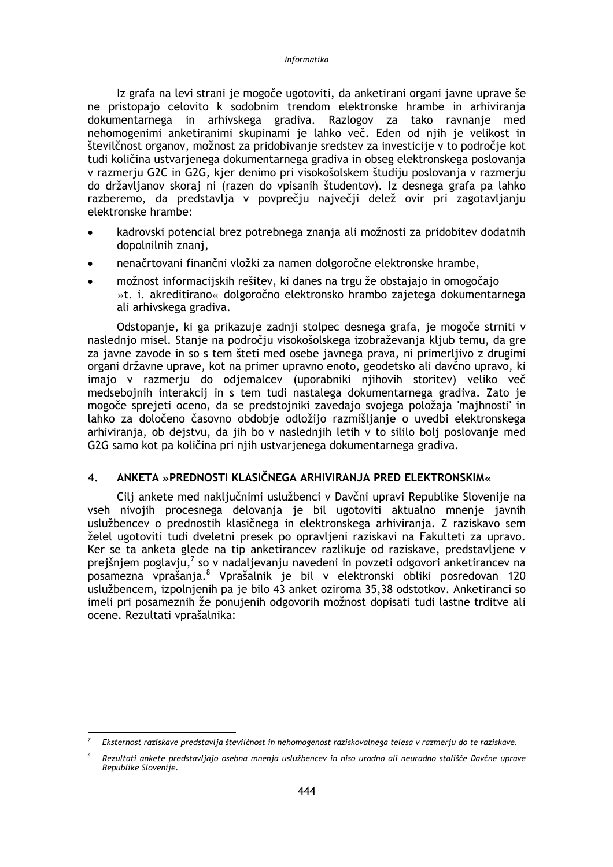Iz grafa na levi strani je mogoče ugotoviti, da anketirani organi javne uprave še ne pristopajo celovito k sodobnim trendom elektronske hrambe in arhiviranja dokumentarnega in arhivskega gradiva. Razlogov za tako ravnanje med nehomogenimi anketiranimi skupinami je lahko več. Eden od njih je velikost in številčnost organov, možnost za pridobivanje sredstev za investicije v to področje kot tudi količina ustvarjenega dokumentarnega gradiva in obseg elektronskega poslovanja v razmerju G2C in G2G, kjer denimo pri visokošolskem študiju poslovanja v razmerju do državljanov skoraj ni (razen do vpisanih študentov). Iz desnega grafa pa lahko razberemo, da predstavlja v povprečju največji delež ovir pri zagotavljanju elektronske hrambe:

- kadrovski potencial brez potrebnega znanja ali možnosti za pridobitev dodatnih dopolnilnih znanj,
- nenačrtovani finančni vložki za namen dolgoročne elektronske hrambe,
- možnost informacijskih rešitev, ki danes na trgu že obstajajo in omogočajo »t. i. akreditirano« dolgoročno elektronsko hrambo zajetega dokumentarnega ali arhivskega gradiva.

Odstopanje, ki ga prikazuje zadnji stolpec desnega grafa, je mogoče strniti v naslednjo misel. Stanje na področju visokošolskega izobraževanja kljub temu, da gre za javne zavode in so s tem šteti med osebe javnega prava, ni primerljivo z drugimi organi državne uprave, kot na primer upravno enoto, geodetsko ali davčno upravo, ki imajo v razmerju do odjemalcev (uporabniki njihovih storitev) veliko več medsebojnih interakcij in s tem tudi nastalega dokumentarnega gradiva. Zato ie mogoče sprejeti oceno, da se predstojniki zavedajo svojega položaja 'majhnosti' in lahko za določeno časovno obdobje odložijo razmišljanje o uvedbi elektronskega arhiviranja, ob dejstvu, da jih bo v naslednjih letih v to sililo bolj poslovanje med G2G samo kot pa količina pri njih ustvarjenega dokumentarnega gradiva.

#### $\overline{4}$ . ANKETA »PREDNOSTI KLASIČNEGA ARHIVIRANJA PRED ELEKTRONSKIM«

Cilj ankete med naključnimi uslužbenci v Davčni upravi Republike Slovenije na vseh nivojih procesnega delovanja je bil ugotoviti aktualno mnenje javnih uslužbencev o prednostih klasičnega in elektronskega arhiviranja. Z raziskavo sem želel ugotoviti tudi dveletni presek po opravljeni raziskavi na Fakulteti za upravo. Ker se ta anketa glede na tip anketirancev razlikuje od raziskave, predstavljene v prejšnjem poglavju, $^7$  so v nadaljevanju navedeni in povzeti odgovori anketirancev na posamezna vprašanja.8 Vprašalnik je bil v elektronski obliki posredovan 120 uslužbencem, izpolnjenih pa je bilo 43 anket oziroma 35,38 odstotkov. Anketiranci so imeli pri posameznih že ponujenih odgovorih možnost dopisati tudi lastne trditve ali ocene. Rezultati vprašalnika:

Eksternost raziskave predstavlja številčnost in nehomogenost raziskovalnega telesa v razmerju do te raziskave.

 $\mathcal{R}$ Rezultati ankete predstavljajo osebna mnenja uslužbencev in niso uradno ali neuradno stališče Davčne uprave Republike Slovenije.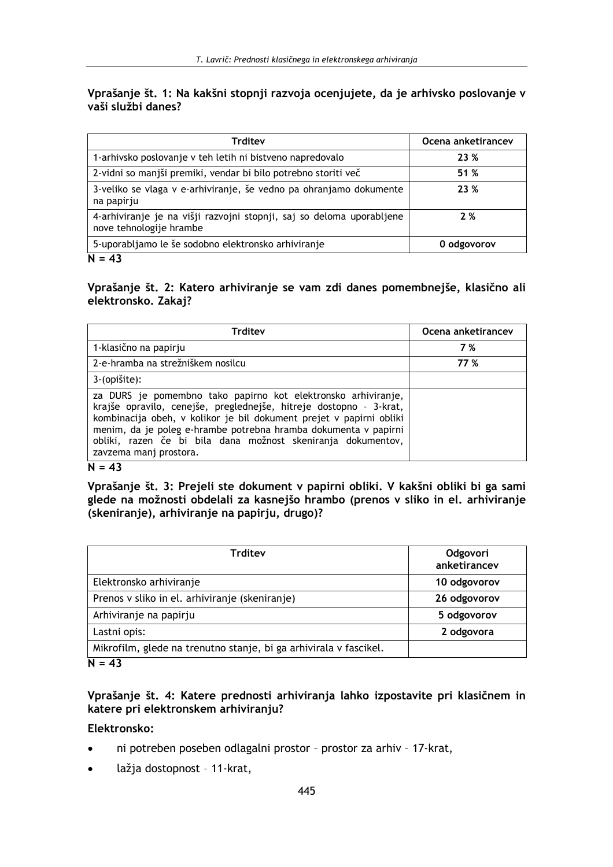# Vprašanje št. 1: Na kakšni stopnji razvoja ocenjujete, da je arhivsko poslovanje v vaši službi danes?

| <b>Trditev</b>                                                                                   | Ocena anketirancev |
|--------------------------------------------------------------------------------------------------|--------------------|
| 1-arhivsko poslovanje v teh letih ni bistveno napredovalo                                        | 23 %               |
| 2-vidni so manjši premiki, vendar bi bilo potrebno storiti več                                   | 51 %               |
| 3-veliko se vlaga v e-arhiviranje, še vedno pa ohranjamo dokumente<br>na papirju                 | 23 %               |
| 4-arhiviranje je na višji razvojni stopnji, saj so deloma uporabljene<br>nove tehnologije hrambe | 2%                 |
| 5-uporabljamo le še sodobno elektronsko arhiviranje                                              | 0 odgovorov        |
| $N = 43$                                                                                         |                    |

Vprašanje št. 2: Katero arhiviranje se vam zdi danes pomembnejše, klasično ali elektronsko. Zakaj?

| <b>Trditev</b>                                                                                                                                                                                                                                                                                                                                                          | Ocena anketirancev |
|-------------------------------------------------------------------------------------------------------------------------------------------------------------------------------------------------------------------------------------------------------------------------------------------------------------------------------------------------------------------------|--------------------|
| 1-klasično na papirju                                                                                                                                                                                                                                                                                                                                                   | 7 %                |
| 2-e-hramba na strežniškem nosilcu                                                                                                                                                                                                                                                                                                                                       | 77 %               |
| 3-(opišite):                                                                                                                                                                                                                                                                                                                                                            |                    |
| za DURS je pomembno tako papirno kot elektronsko arhiviranje,<br>krajše opravilo, cenejše, preglednejše, hitreje dostopno - 3-krat,<br>kombinacija obeh, v kolikor je bil dokument prejet v papirni obliki<br>menim, da je poleg e-hrambe potrebna hramba dokumenta v papirni<br>obliki, razen če bi bila dana možnost skeniranja dokumentov,<br>zavzema mani prostora. |                    |

 $N = 43$ 

Vprašanje št. 3: Prejeli ste dokument v papirni obliki. V kakšni obliki bi ga sami glede na možnosti obdelali za kasnejšo hrambo (prenos v sliko in el. arhiviranje (skeniranje), arhiviranje na papirju, drugo)?

| <b>Trditev</b>                                                    | Odgovori<br>anketirancev |
|-------------------------------------------------------------------|--------------------------|
| Elektronsko arhiviranje                                           | 10 odgovorov             |
| Prenos v sliko in el. arhiviranje (skeniranje)                    | 26 odgovorov             |
| Arhiviranje na papirju                                            | 5 odgovorov              |
| Lastni opis:                                                      | 2 odgovora               |
| Mikrofilm, glede na trenutno stanje, bi ga arhivirala v fascikel. |                          |
| $N = 43$                                                          |                          |

# Vprašanje št. 4: Katere prednosti arhiviranja lahko izpostavite pri klasičnem in katere pri elektronskem arhiviranju?

Elektronsko:

- $\bullet$ ni potreben poseben odlagalni prostor - prostor za arhiv - 17-krat,
- lažja dostopnost 11-krat,  $\bullet$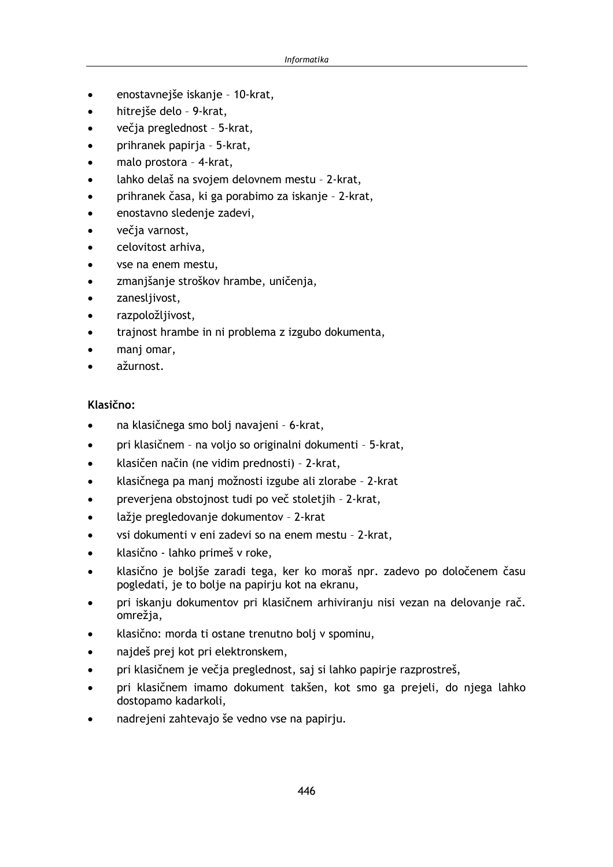- enostavnejše iskanje 10-krat,
- hitreiše delo 9-krat.  $\blacksquare$
- večja preglednost 5-krat,
- prihranek papirja 5-krat,
- malo prostora 4-krat,
- lahko delaš na svojem delovnem mestu 2-krat.
- prihranek časa, ki ga porabimo za iskanje 2-krat,
- enostavno sledenje zadevi,
- večja varnost,
- celovitost arhiva.
- vse na enem mestu,
- zmanjšanje stroškov hrambe, uničenja,
- zanesljivost,
- razpoložljivost,
- trajnost hrambe in ni problema z izgubo dokumenta,
- manj omar,
- ažurnost.

# Klasično:

- na klasičnega smo bolj navajeni 6-krat,
- pri klasičnem na voljo so originalni dokumenti 5-krat,
- klasičen način (ne vidim prednosti) 2-krat,
- klasičnega pa manj možnosti izgube ali zlorabe 2-krat
- preverjena obstojnost tudi po več stoletjih 2-krat,
- lažie pregledovanie dokumentov 2-krat
- vsi dokumenti v eni zadevi so na enem mestu 2-krat,
- klasično lahko primeš v roke,
- klasično je boljše zaradi tega, ker ko moraš npr. zadevo po določenem času pogledati, je to bolje na papirju kot na ekranu,
- pri iskanju dokumentov pri klasičnem arhiviranju nisi vezan na delovanje rač. omrežia.
- klasično: morda ti ostane trenutno bolj v spominu,
- najdeš prej kot pri elektronskem,
- pri klasičnem je večja preglednost, saj si lahko papirje razprostreš,
- pri klasičnem imamo dokument takšen, kot smo ga prejeli, do njega lahko dostopamo kadarkoli,
- nadrejeni zahtevajo še vedno vse na papirju.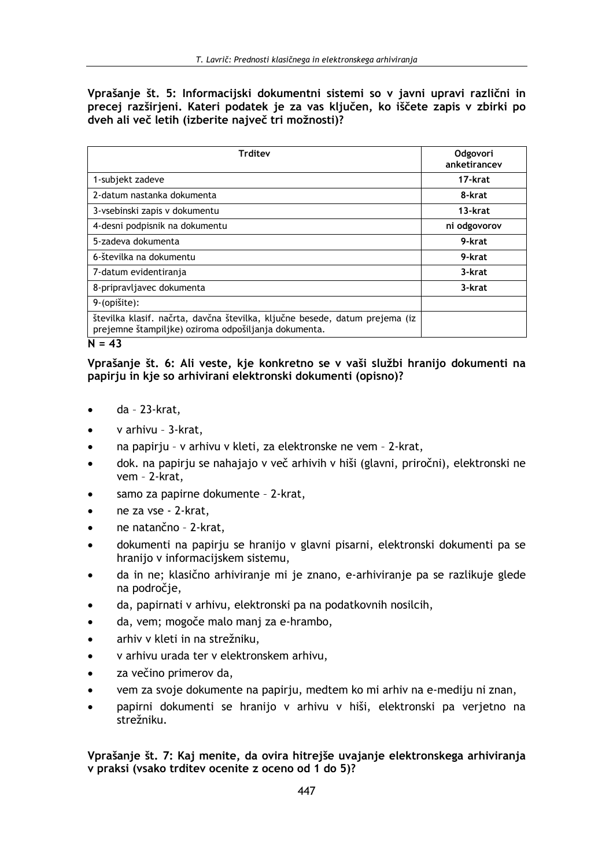Vprašanje št. 5: Informacijski dokumentni sistemi so v javni upravi različni in precej razširjeni. Kateri podatek je za vas ključen, ko iščete zapis v zbirki po dveh ali več letih (izberite največ tri možnosti)?

| Trditev                                                                                                                             | <b>Odgovori</b><br>anketirancev |
|-------------------------------------------------------------------------------------------------------------------------------------|---------------------------------|
| 1-subjekt zadeve                                                                                                                    | 17-krat                         |
| 2-datum nastanka dokumenta                                                                                                          | 8-krat                          |
| 3-vsebinski zapis v dokumentu                                                                                                       | 13-krat                         |
| 4-desni podpisnik na dokumentu                                                                                                      | ni odgovorov                    |
| 5-zadeva dokumenta                                                                                                                  | 9-krat                          |
| 6-številka na dokumentu                                                                                                             | 9-krat                          |
| 7-datum evidentiranja                                                                                                               | 3-krat                          |
| 8-pripravljavec dokumenta                                                                                                           | 3-krat                          |
| 9-(opišite):                                                                                                                        |                                 |
| številka klasif. načrta, davčna številka, ključne besede, datum prejema (iz<br>prejemne štampiljke) oziroma odpošiljanja dokumenta. |                                 |
| $N = 43$                                                                                                                            |                                 |

## Vprašanje št. 6: Ali veste, kje konkretno se v vaši službi hranijo dokumenti na papirju in kje so arhivirani elektronski dokumenti (opisno)?

- da 23-krat,
- v arhivu 3-krat,
- na papirju v arhivu v kleti, za elektronske ne vem 2-krat,
- dok. na papirju se nahajajo v več arhivih v hiši (glavni, priročni), elektronski ne vem - 2-krat,
- samo za papirne dokumente 2-krat,
- ne za vse 2-krat,
- ne natančno 2-krat,
- dokumenti na papirju se hranijo v glavni pisarni, elektronski dokumenti pa se hranijo v informacijskem sistemu,
- da in ne; klasično arhiviranje mi je znano, e-arhiviranje pa se razlikuje glede na področie,
- da, papirnati v arhivu, elektronski pa na podatkovnih nosilcih,
- da, vem; mogoče malo manj za e-hrambo,
- arhiv v kleti in na strežniku.
- v arhivu urada ter v elektronskem arhivu,
- za večino primerov da,
- vem za svoje dokumente na papirju, medtem ko mi arhiv na e-mediju ni znan,
- papirni dokumenti se hranijo v arhivu v hiši, elektronski pa verjetno na strežniku.

Vprašanje št. 7: Kaj menite, da ovira hitrejše uvajanje elektronskega arhiviranja v praksi (vsako trditev ocenite z oceno od 1 do 5)?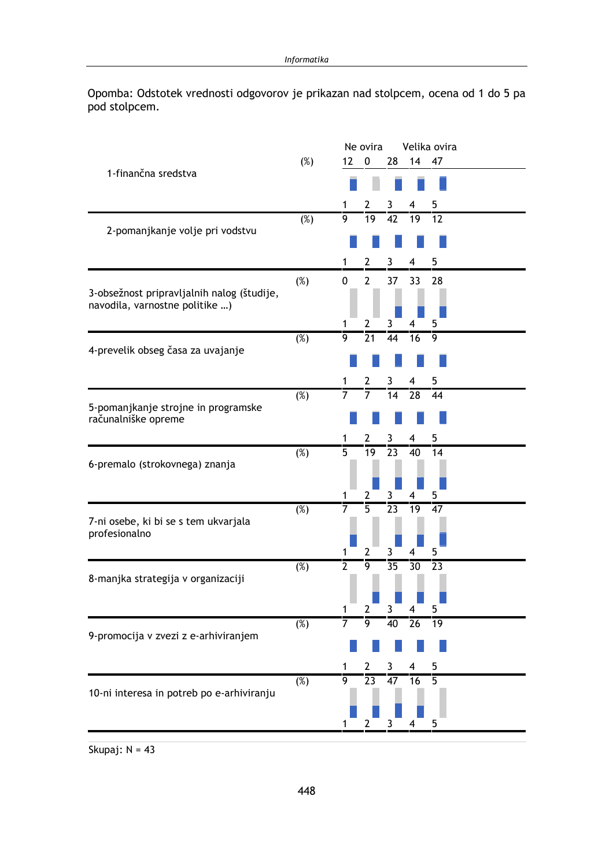Opomba: Odstotek vrednosti odgovorov je prikazan nad stolpcem, ocena od 1 do 5 pa pod stolpcem.

|                                                       |                   |                     | Ne ovira        |                 |                 | Velika ovira    |
|-------------------------------------------------------|-------------------|---------------------|-----------------|-----------------|-----------------|-----------------|
| 1-finančna sredstva                                   | $(\%)$            | 12 <sup>2</sup>     | $\mathbf 0$     | 28              | 14              | 47              |
|                                                       |                   |                     |                 |                 |                 |                 |
|                                                       |                   | 1                   | 2               | 3               | 4               | 5               |
|                                                       | (%)               | 9                   | 19              | 42              | 19              | 12              |
| 2-pomanjkanje volje pri vodstvu                       |                   |                     |                 |                 |                 |                 |
|                                                       |                   | 1                   | 2               | 3               | 4               | 5               |
|                                                       |                   |                     | $\overline{2}$  |                 |                 |                 |
| 3-obsežnost pripravljalnih nalog (študije,            | (%)               | 0                   |                 | 37              | 33              | 28              |
| navodila, varnostne politike )                        |                   |                     |                 |                 |                 |                 |
|                                                       |                   | 1                   | 2               | 3               | 4               | 5               |
|                                                       | (%)               | 9                   | 21              | 44              | 16              | 9               |
| 4-prevelik obseg časa za uvajanje                     |                   |                     |                 |                 |                 |                 |
|                                                       |                   | 1                   | 2               | 3               | 4               | 5               |
|                                                       | $\overline{(\%)}$ | $\overline{7}$      | 7               | 14              | 28              | 44              |
| 5-pomanjkanje strojne in programske                   |                   |                     |                 |                 |                 |                 |
| računalniške opreme                                   |                   |                     |                 |                 |                 |                 |
|                                                       |                   | 1                   | 2               | 3               | 4               | 5               |
| 6-premalo (strokovnega) znanja                        | $\overline{(\%)}$ | $\overline{5}$      | $\overline{19}$ | $\overline{23}$ | $\overline{40}$ | $\overline{14}$ |
|                                                       |                   |                     |                 |                 |                 |                 |
|                                                       |                   | 1                   | 2               | 3               | 4               | 5               |
|                                                       | $\overline{(\%)}$ | $\overline{7}$      | $\overline{5}$  | $\overline{23}$ | 19              | 47              |
| 7-ni osebe, ki bi se s tem ukvarjala<br>profesionalno |                   |                     |                 |                 |                 |                 |
|                                                       |                   |                     |                 |                 |                 |                 |
|                                                       | (%)               | 1<br>$\overline{2}$ | 2<br>9          | 3<br>35         | 4<br>30         | 5<br>23         |
| 8-manjka strategija v organizaciji                    |                   |                     |                 |                 |                 |                 |
|                                                       |                   |                     |                 |                 |                 |                 |
|                                                       |                   |                     | 2               | 3               | 4               | 5               |
|                                                       | $(\%)$            | $\overline{7}$      | $\overline{9}$  | 40              | $\overline{26}$ | $\overline{19}$ |
| 9-promocija v zvezi z e-arhiviranjem                  |                   |                     |                 |                 |                 |                 |
|                                                       |                   |                     | 2               | 3               | 4               | 5               |
|                                                       | $(\%)$            | $\overline{9}$      | $\overline{23}$ | $\overline{47}$ | $\overline{16}$ | $\overline{5}$  |
| 10-ni interesa in potreb po e-arhiviranju             |                   |                     |                 |                 |                 |                 |
|                                                       |                   |                     |                 |                 |                 |                 |
|                                                       |                   |                     | 2               |                 |                 | 5               |

Skupaj:  $N = 43$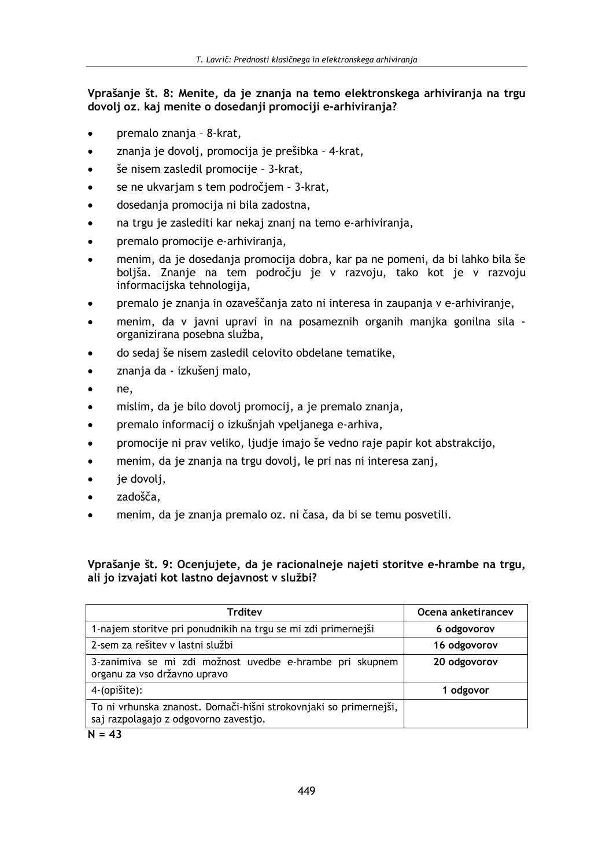# Vprašanje št. 8: Menite, da je znanja na temo elektronskega arhiviranja na trgu dovolj oz. kaj menite o dosedanji promociji e-arhiviranja?

- premalo znania 8-krat.
- znanja je dovolj, promocija je prešibka 4-krat,
- še nisem zasledil promocije 3-krat,
- se ne ukvariam s tem področiem 3-krat.
- dosedanja promocija ni bila zadostna,
- na trgu je zaslediti kar nekaj znanj na temo e-arhiviranja,
- premalo promocije e-arhiviranja,
- menim, da je dosedanja promocija dobra, kar pa ne pomeni, da bi lahko bila še boljša. Znanje na tem področju je v razvoju, tako kot je v razvoju informacijska tehnologija,
- premalo je znanja in ozaveščanja zato ni interesa in zaupanja v e-arhiviranje,
- menim, da v javni upravi in na posameznih organih manjka gonilna sila - $\bullet$ organizirana posebna služba,
- do sedaj še nisem zasledil celovito obdelane tematike,
- znanja da izkušenj malo,
- ne,  $\bullet$
- mislim, da je bilo dovolj promocij, a je premalo znanja,
- premalo informacii o izkušniah vpelianega e-arhiva,
- promocije ni prav veliko, ljudje imajo še vedno raje papir kot abstrakcijo,
- menim, da je znanja na trgu dovolj, le pri nas ni interesa zanj,
- je dovolj,  $\bullet$
- zadošča,
- menim, da je znanja premalo oz. ni časa, da bi se temu posvetili.

# Vprašanje št. 9: Ocenjujete, da je racionalneje najeti storitve e-hrambe na trgu, ali jo izvajati kot lastno dejavnost v službi?

| <b>Trditev</b>                                                                                             | Ocena anketirancev |
|------------------------------------------------------------------------------------------------------------|--------------------|
| 1-najem storitve pri ponudnikih na trgu se mi zdi primernejši                                              | 6 odgovorov        |
| 2-sem za rešitev v lastni službi                                                                           | 16 odgovorov       |
| 3-zanimiva se mi zdi možnost uvedbe e-hrambe pri skupnem<br>organu za vso državno upravo                   | 20 odgovorov       |
| 4-(opišite):                                                                                               | 1 odgovor          |
| To ni vrhunska znanost. Domači-hišni strokovnjaki so primernejši,<br>saj razpolagajo z odgovorno zavestjo. |                    |
| $\mathbf{L}$<br>$\overline{1}$                                                                             |                    |

## $N = 43$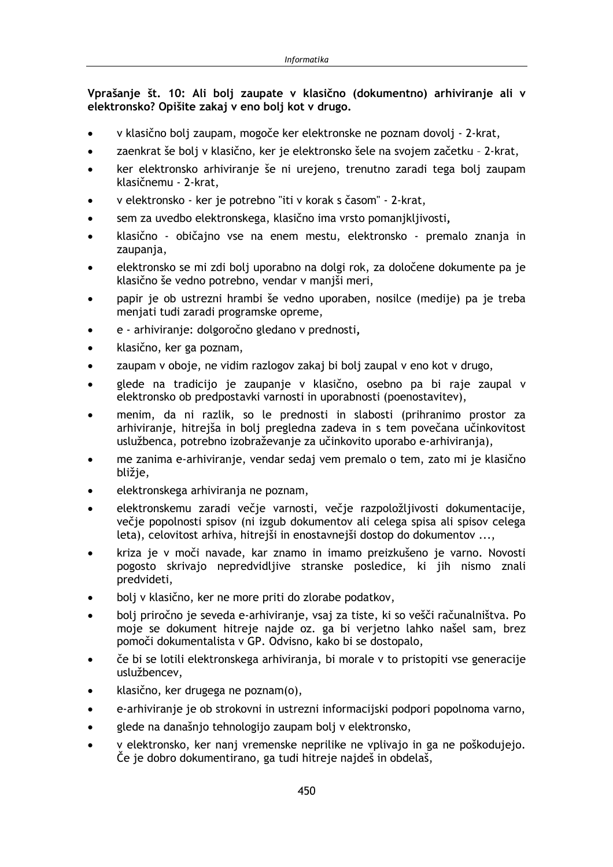Vprašanje št. 10: Ali bolj zaupate v klasično (dokumentno) arhiviranje ali v elektronsko? Opišite zakaj v eno bolj kot v drugo.

- v klasično boli zaupam, mogoče ker elektronske ne poznam dovoli 2-krat,
- zaenkrat še bolj v klasično, ker je elektronsko šele na svojem začetku 2-krat,
- ker elektronsko arhiviranje še ni urejeno, trenutno zaradi tega bolj zaupam  $\bullet$ klasičnemu - 2-krat,
- v elektronsko ker je potrebno "iti v korak s časom" 2-krat,
- sem za uvedbo elektronskega, klasično ima vrsto pomanjkljivosti,
- klasično običajno vse na enem mestu, elektronsko premalo znanja in zaupanja,
- elektronsko se mi zdi bolj uporabno na dolgi rok, za določene dokumente pa je klasično še vedno potrebno, vendar v manjši meri,
- papir je ob ustrezni hrambi še vedno uporaben, nosilce (medije) pa je treba menjati tudi zaradi programske opreme,
- e arhiviranie: dolgoročno gledano v prednosti.
- klasično, ker ga poznam,  $\bullet$
- zaupam v oboje, ne vidim razlogov zakaj bi bolj zaupal v eno kot v drugo,  $\bullet$
- glede na tradicijo je zaupanje v klasično, osebno pa bi raje zaupal v elektronsko ob predpostavki varnosti in uporabnosti (poenostavitev),
- menim, da ni razlik, so le prednosti in slabosti (prihranimo prostor za arhiviranje, hitrejša in bolj pregledna zadeva in s tem povečana učinkovitost uslužbenca, potrebno izobraževanje za učinkovito uporabo e-arhiviranja),
- me zanima e-arhiviranje, vendar sedaj vem premalo o tem, zato mi je klasično bližje,
- elektronskega arhiviranja ne poznam,
- elektronskemu zaradi večje varnosti, večje razpoložljivosti dokumentacije, večje popolnosti spisov (ni izgub dokumentov ali celega spisa ali spisov celega leta), celovitost arhiva, hitrejši in enostavnejši dostop do dokumentov ...,
- kriza je v moči navade, kar znamo in imamo preizkušeno je varno. Novosti pogosto skrivajo nepredvidljive stranske posledice, ki jih nismo znali predvideti,
- bolj v klasično, ker ne more priti do zlorabe podatkov,
- bolj priročno je seveda e-arhiviranje, vsaj za tiste, ki so vešči računalništva. Po moje se dokument hitreje najde oz. ga bi verjetno lahko našel sam, brez pomoči dokumentalista v GP. Odvisno, kako bi se dostopalo,
- če bi se lotili elektronskega arhivirania, bi morale v to pristopiti vse generacije uslužbencev.
- klasično, ker drugega ne poznam(o),
- e-arhiviranje je ob strokovni in ustrezni informacijski podpori popolnoma varno,
- glede na današnjo tehnologijo zaupam bolj v elektronsko,
- v elektronsko, ker nanj vremenske neprilike ne vplivajo in ga ne poškodujejo. Če je dobro dokumentirano, ga tudi hitreje najdeš in obdelaš,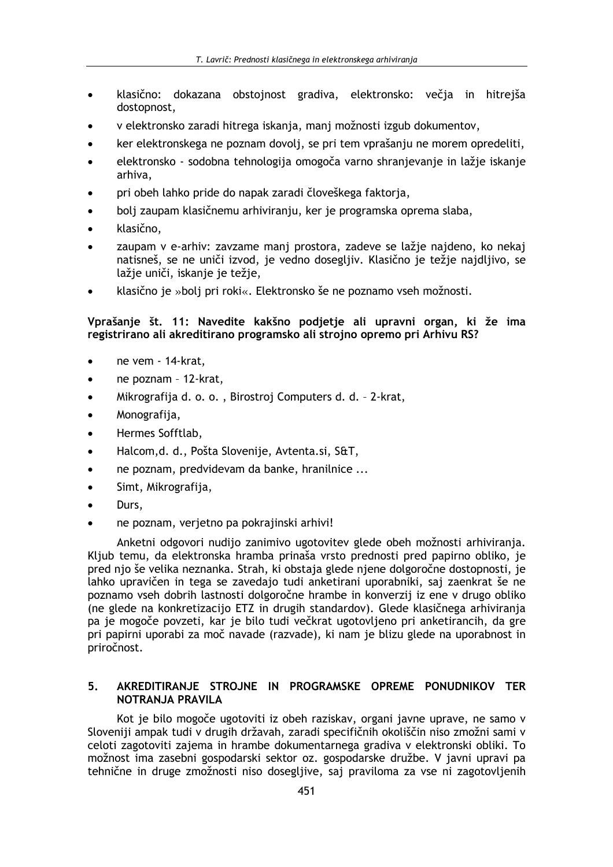- klasično: dokazana obstojnost gradiva, elektronsko: večja in hitrejša dostopnost,
- v elektronsko zaradi hitrega iskanja, manj možnosti izgub dokumentov,
- ker elektronskega ne poznam dovolj, se pri tem vprašanju ne morem opredeliti,
- elektronsko sodobna tehnologija omogoča varno shranjevanje in lažje iskanje arhiva.
- pri obeh lahko pride do napak zaradi človeškega faktoria,
- bolj zaupam klasičnemu arhiviranju, ker je programska oprema slaba,
- klasično,
- zaupam v e-arhiv: zavzame manj prostora, zadeve se lažje najdeno, ko nekaj natisneš, se ne uniči izvod, je vedno dosegljiv. Klasično je težje najdljivo, se lažje uniči, iskanje je težje,
- klasično je »bolj pri roki«. Elektronsko še ne poznamo vseh možnosti.

## Vprašanje št. 11: Navedite kakšno podjetje ali upravni organ, ki že ima registrirano ali akreditirano programsko ali strojno opremo pri Arhivu RS?

- ne vem 14-krat,
- ne poznam 12-krat,
- Mikrografija d. o. o., Birostroj Computers d. d. 2-krat,
- Monografija,
- Hermes Sofftlab,
- Halcom.d. d., Pošta Slovenije, Avtenta.si, S&T.
- ne poznam, predvidevam da banke, hranilnice ...
- Simt, Mikrografija,  $\bullet$
- Durs.
- ne poznam, verjetno pa pokrajinski arhivi!

Anketni odgovori nudijo zanimivo ugotovitev glede obeh možnosti arhiviranja. Kljub temu, da elektronska hramba prinaša vrsto prednosti pred papirno obliko, je pred njo še velika neznanka. Strah, ki obstaja glede njene dolgoročne dostopnosti, je lahko upravičen in tega se zavedajo tudi anketirani uporabniki, saj zaenkrat še ne poznamo vseh dobrih lastnosti dolgoročne hrambe in konverzij iz ene v drugo obliko (ne glede na konkretizacijo ETZ in drugih standardov). Glede klasičnega arhiviranja pa je mogoče povzeti, kar je bilo tudi večkrat ugotovljeno pri anketirancih, da gre pri papirni uporabi za moč navade (razvade), ki nam je blizu glede na uporabnost in priročnost.

#### AKREDITIRANJE STROJNE IN PROGRAMSKE OPREME PONUDNIKOV TER  $5<sub>1</sub>$ NOTRANJA PRAVILA

Kot je bilo mogoče ugotoviti iz obeh raziskav, organi javne uprave, ne samo v Sloveniji ampak tudi v drugih državah, zaradi specifičnih okoliščin niso zmožni sami v celoti zagotoviti zajema in hrambe dokumentarnega gradiva v elektronski obliki. To možnost ima zasebni gospodarski sektor oz. gospodarske družbe. V javni upravi pa tehnične in druge zmožnosti niso dosegljive, saj praviloma za vse ni zagotovljenih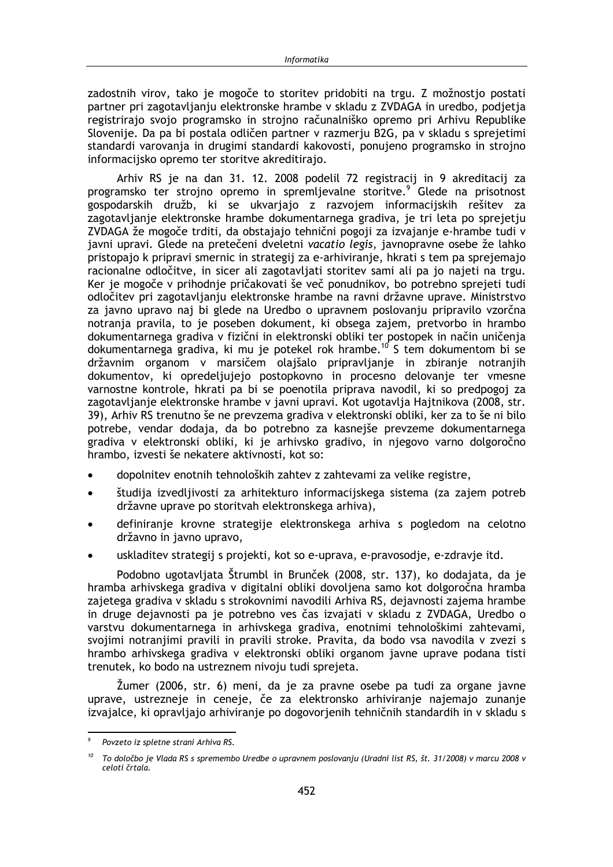zadostnih virov, tako je mogoče to storitev pridobiti na trgu. Z možnostio postati partner pri zagotavljanju elektronske hrambe v skladu z ZVDAGA in uredbo, podjetja registrirajo svojo programsko in strojno računalniško opremo pri Arhivu Republike Slovenije. Da pa bi postala odličen partner v razmerju B2G, pa v skladu s sprejetimi standardi varovanja in drugimi standardi kakovosti, ponujeno programsko in strojno informacijsko opremo ter storitve akreditirajo.

Arhiv RS je na dan 31. 12. 2008 podelil 72 registracij in 9 akreditacij za programsko ter strojno opremo in spremljevalne storitve.<sup>9</sup> Glede na prisotnost gospodarskih družb, ki se ukvarjajo z razvojem informacijskih rešitev za zagotavljanje elektronske hrambe dokumentarnega gradiva, je tri leta po sprejetju ZVDAGA že mogoče trditi, da obstajajo tehnični pogoji za izvajanje e-hrambe tudi v javni upravi. Glede na pretečeni dveletni vacatio legis, javnopravne osebe že lahko pristopajo k pripravi smernic in strategij za e-arhiviranje, hkrati s tem pa sprejemajo racionalne odločitve, in sicer ali zagotavliati storitev sami ali pa jo najeti na trgu. Ker je mogoče v prihodnje pričakovati še več ponudnikov, bo potrebno sprejeti tudi odločitev pri zagotavljanju elektronske hrambe na ravni državne uprave. Ministrstvo za javno upravo naj bi glede na Uredbo o upravnem poslovanju pripravilo vzorčna notranja pravila, to je poseben dokument, ki obsega zajem, pretvorbo in hrambo dokumentarnega gradiva v fizični in elektronski obliki ter postopek in način uničenja dokumentarnega gradiva, ki mu je potekel rok hrambe.<sup>10</sup> S tem dokumentom bi se državnim organom v marsičem olajšalo pripravljanje in zbiranje notranjih dokumentov, ki opredeljujejo postopkovno in procesno delovanje ter vmesne varnostne kontrole, hkrati pa bi se poenotila priprava navodil, ki so predpogoj za zagotavljanje elektronske hrambe v javni upravi. Kot ugotavlja Hajtnikova (2008, str. 39), Arhiv RS trenutno še ne prevzema gradiva v elektronski obliki, ker za to še ni bilo potrebe, vendar dodaja, da bo potrebno za kasnejše prevzeme dokumentarnega gradiva v elektronski obliki, ki je arhivsko gradivo, in njegovo varno dolgoročno hrambo, izvesti še nekatere aktivnosti, kot so:

- dopolnitev enotnih tehnoloških zahtev z zahtevami za velike registre,
- študija izvedljivosti za arhitekturo informacijskega sistema (za zajem potreb  $\bullet$ državne uprave po storitvah elektronskega arhiva),
- definiranje krovne strategije elektronskega arhiva s pogledom na celotno državno in javno upravo,
- uskladitev strategij s projekti, kot so e-uprava, e-pravosodie, e-zdravie itd.

Podobno ugotavljata Štrumbl in Brunček (2008, str. 137), ko dodajata, da je hramba arhivskega gradiva v digitalni obliki dovoljena samo kot dolgoročna hramba zajetega gradiva v skladu s strokovnimi navodili Arhiva RS, dejavnosti zajema hrambe in druge dejavnosti pa je potrebno ves čas izvajati v skladu z ZVDAGA, Uredbo o varstvu dokumentarnega in arhivskega gradiva, enotnimi tehnološkimi zahtevami, svojimi notranjimi pravili in pravili stroke. Pravita, da bodo vsa navodila v zvezi s hrambo arhivskega gradiva v elektronski obliki organom javne uprave podana tisti trenutek, ko bodo na ustreznem nivoju tudi sprejeta.

Žumer (2006, str. 6) meni, da je za pravne osebe pa tudi za organe javne uprave, ustrezneje in ceneje, če za elektronsko arhiviranje najemajo zunanje izvajalce, ki opravljajo arhiviranje po dogovorjenih tehničnih standardih in v skladu s

Povzeto iz spletne strani Arhiva RS.

 $10<sup>10</sup>$ To določbo je Vlada RS s spremembo Uredbe o upravnem poslovanju (Uradni list RS, št. 31/2008) v marcu 2008 v celoti črtala.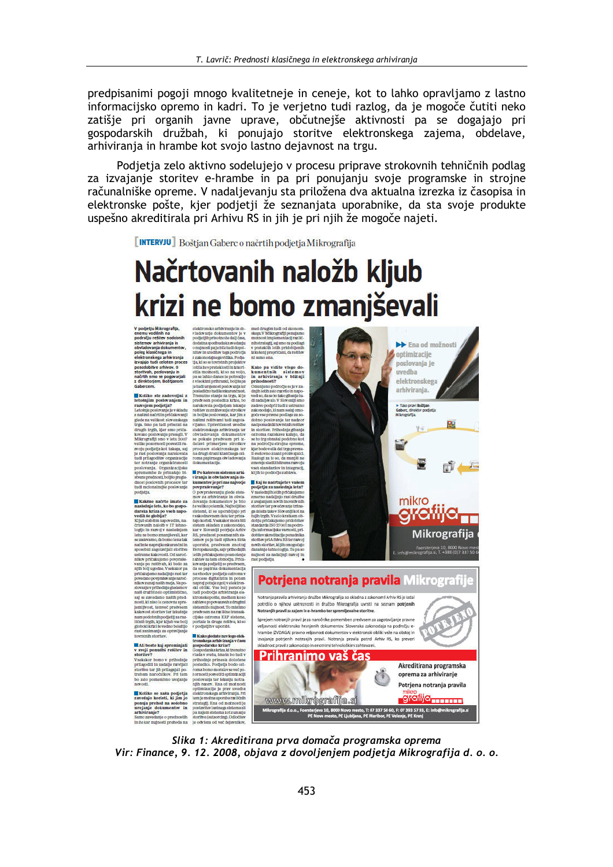predpisanimi pogoji mnogo kvalitetneje in ceneje, kot to lahko opravljamo z lastno informacijsko opremo in kadri. To je verjetno tudi razlog, da je mogoče čutiti neko zatišje pri organih javne uprave, občutnejše aktivnosti pa se dogajajo pri gospodarskih družbah, ki ponujajo storitve elektronskega zajema, obdelave, arhiviranja in hrambe kot svojo lastno dejavnost na trgu.

Podjetja zelo aktivno sodelujejo v procesu priprave strokovnih tehničnih podlag za izvajanje storitev e-hrambe in pa pri ponujanju svoje programske in strojne računalniške opreme. V nadaljevanju sta priložena dva aktualna izrezka iz časopisa in elektronske pošte, kjer podjetji že seznanjata uporabnike, da sta svoje produkte uspešno akreditirala pri Arhivu RS in jih je pri njih že mogoče najeti.

**[INTERVJU]** Boštjan Gaberc o načrtih podjetja Mikrografija

# Načrtovanih naložb kljub krizi ne bomo zmanjševali

rasi zanimanja za opravljanje<br>tovrstnih storitev,

golookia<br>Tirki sveino boshtijo "podjetjih v uporabi, mest zanitanaja za opervljanje "Modogadanie navis<br/>golookia<br> korrstnih storitev, "Modogadanie navisnoste kriser" ("Modogadanie navisnoste kriser") v svoji ponadbir r



**BB** Ena od možnosti **A** ontimizaclie poslovanja je inredha

Slika 1: Akreditirana prva domača programska oprema Vir: Finance, 9. 12. 2008, objava z dovoljenjem podjetja Mikrografija d. o. o.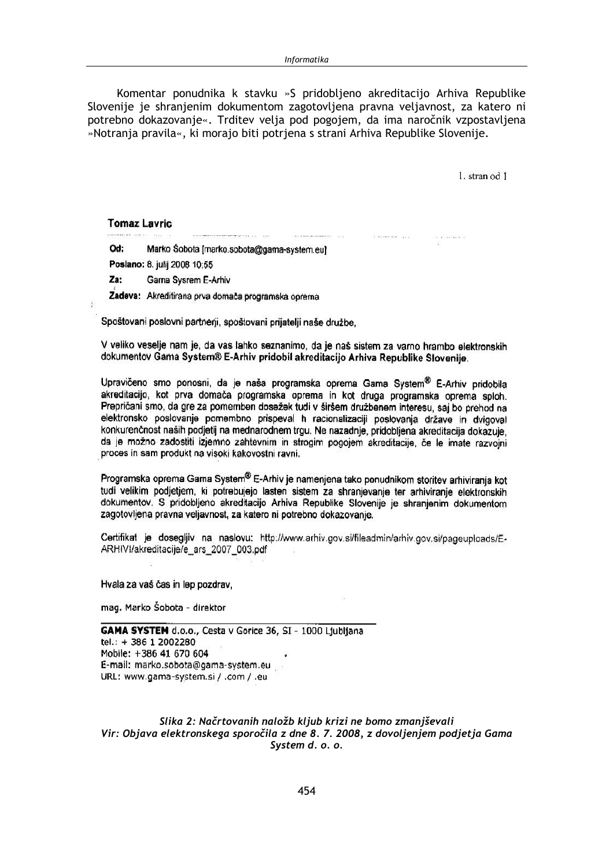Komentar ponudnika k stavku »S pridobljeno akreditacijo Arhiva Republike Slovenije je shranjenim dokumentom zagotovljena pravna veljavnost, za katero ni potrebno dokazovanje«. Trditev velja pod pogojem, da ima naročnik vzpostavljena »Notrania pravila«, ki moraio biti potriena s strani Arhiva Republike Sloveniie.

 $\label{eq:3.1} \text{Tr}(\mathbf{r}) = \mathbf{r} \cdot \mathbf{r} + \mathbf{r} \cdot \mathbf{r} + \mathbf{r} \cdot \mathbf{r} + \mathbf{r} \cdot \mathbf{r} + \mathbf{r} \cdot \mathbf{r} + \mathbf{r} \cdot \mathbf{r} + \mathbf{r} \cdot \mathbf{r} + \mathbf{r} \cdot \mathbf{r} + \mathbf{r} \cdot \mathbf{r} + \mathbf{r} \cdot \mathbf{r} + \mathbf{r} \cdot \mathbf{r} + \mathbf{r} \cdot \mathbf{r} + \mathbf{r} \cdot \mathbf{r} + \mathbf{$ 

1. stran od 1

### **Tomaz Lavric**

Marko Šobota [marko.sobota@gama-system.eu] Od:

Poslano: 8. julij 2008 10:55

Za: Gama Sysrem E-Arhiv

Zadeva: Akreditirana prva domača programska oprema

Spoštovani poslovni partnerji, spoštovani prijatelji naše družbe.

V veliko veselje nam je, da vas lahko seznanimo, da je naš sistem za varno hrambo elektronskih dokumentov Gama System® E-Arhiv pridobil akreditacijo Arhiva Republike Slovenije.

Upravičeno smo ponosni, da je naša programska oprema Gama System® E-Arhiv pridobila akreditacijo, kot prva domača programska oprema in kot druga programska oprema soloh. Prepričani smo, da gre za pomemben dosežek tudi v širšem družbenem interesu, saj bo prehod na elektronsko poslovanje pomembno prispeval h racionalizaciji poslovanja države in dvigoval konkurenčnost naših podjetij na mednarodnem trgu. Ne nazadnje, pridobljena akreditacija dokazuje. da ie možno zadostiti iziemno zahtevnim in strogim pogojem akreditacije, če le imate razvojni proces in sam produkt na visoki kakovostni ravni.

Programska oprema Gama System® E-Arhiv je namenjena tako ponudnikom storitev arhiviranja kot tudi velikim podietiem, ki potrebujejo lasten sistem za shranjevanje ter arhiviranje elektronskih dokumentov. S pridobljeno akreditacijo Arhiva Republike Slovenije je shranjenim dokumentom zagotovljena pravna veljavnost, za katero ni potrebno dokazovanje.

Certifikat je dosegljiv na naslovu: http://www.arhiv.gov.si/fileadmin/arhiv.gov.si/pageuploads/E-ARHIVI/akreditacije/e ars 2007 003.pdf

Hvala za vaš čas in lep pozdrav.

mag. Marko Šobota - direktor

GAMA SYSTEM d.o.o., Cesta v Gorice 36, SI - 1000 Ljubljana tel.: +386 1 2002280 Mobile: +386 41 670 604 E-mail: marko.sobota@gama-system.eu URL: www.gama-system.si / .com / .eu

Slika 2: Načrtovanih naložb kljub krizi ne bomo zmanjševali Vir: Objava elektronskega sporočila z dne 8. 7. 2008, z dovoljenjem podjetja Gama System d. o. o.